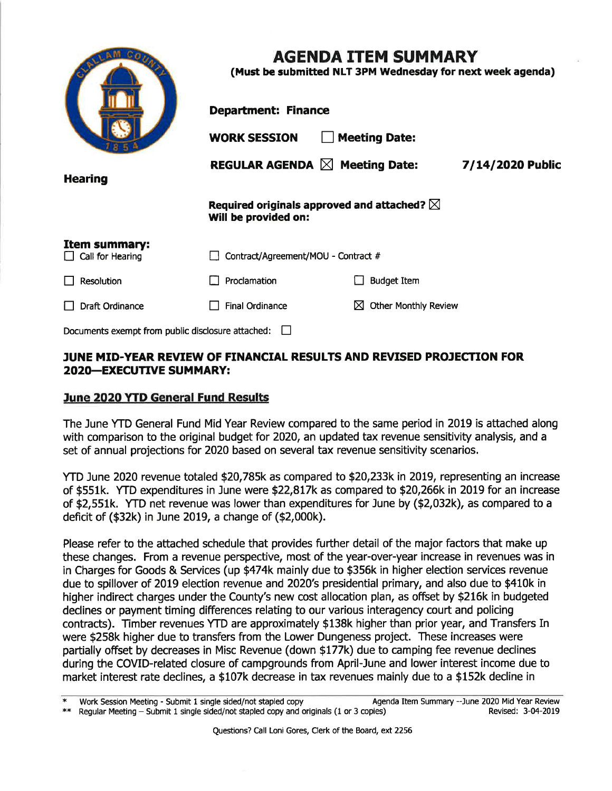|                                                   | <b>AGENDA ITEM SUMMARY</b><br>(Must be submitted NLT 3PM Wednesday for next week agenda) |                                  |                  |  |  |  |  |  |
|---------------------------------------------------|------------------------------------------------------------------------------------------|----------------------------------|------------------|--|--|--|--|--|
|                                                   | <b>Department: Finance</b>                                                               |                                  |                  |  |  |  |  |  |
|                                                   | <b>Meeting Date:</b><br><b>WORK SESSION</b>                                              |                                  |                  |  |  |  |  |  |
| <b>Hearing</b>                                    | REGULAR AGENDA $\boxtimes$ Meeting Date:                                                 |                                  | 7/14/2020 Public |  |  |  |  |  |
|                                                   | Required originals approved and attached? $\boxtimes$<br>Will be provided on:            |                                  |                  |  |  |  |  |  |
| Item summary:<br>Call for Hearing                 | Contract/Agreement/MOU - Contract #                                                      |                                  |                  |  |  |  |  |  |
| Resolution                                        | Proclamation                                                                             | <b>Budget Item</b>               |                  |  |  |  |  |  |
| Draft Ordinance                                   | <b>Final Ordinance</b>                                                                   | <b>Other Monthly Review</b><br>⋈ |                  |  |  |  |  |  |
| Documents exempt from public disclosure attached: |                                                                                          |                                  |                  |  |  |  |  |  |

# JUNE MID-YEAR REVIEW OF FINANCIAL RESULTS AND REVISED PROJECTION FOR **2020-EXECUTIVE SUMMARY:**

### June 2020 YTD General Fund Results

The June YTD General Fund Mid Year Review compared to the same period in 2019 is attached along with comparison to the original budget for 2020, an updated tax revenue sensitivity analysis, and a set of annual projections for 2020 based on several tax revenue sensitivity scenarios.

YTD June 2020 revenue totaled \$20,785k as compared to \$20,233k in 2019, representing an increase of \$551k. YTD expenditures in June were \$22,817k as compared to \$20,266k in 2019 for an increase of \$2,551k. YTD net revenue was lower than expenditures for June by (\$2,032k), as compared to a deficit of (\$32k) in June 2019, a change of (\$2,000k).

Please refer to the attached schedule that provides further detail of the major factors that make up these changes. From a revenue perspective, most of the year-over-year increase in revenues was in in Charges for Goods & Services (up \$474k mainly due to \$356k in higher election services revenue due to spillover of 2019 election revenue and 2020's presidential primary, and also due to \$410k in higher indirect charges under the County's new cost allocation plan, as offset by \$216k in budgeted declines or payment timing differences relating to our various interagency court and policing contracts). Timber revenues YTD are approximately \$138k higher than prior year, and Transfers In were \$258k higher due to transfers from the Lower Dungeness project. These increases were partially offset by decreases in Misc Revenue (down \$177k) due to camping fee revenue declines during the COVID-related closure of campgrounds from April-June and lower interest income due to market interest rate declines, a \$107k decrease in tax revenues mainly due to a \$152k decline in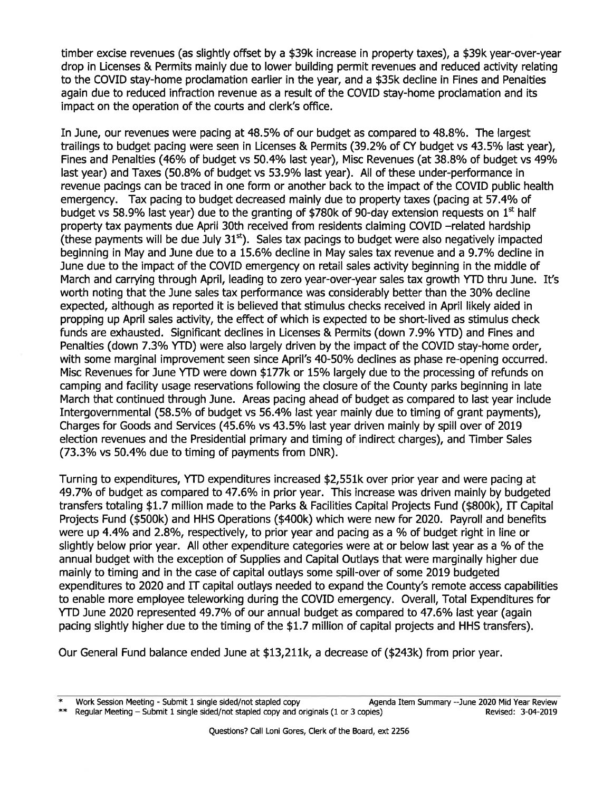timber excise revenues (as slightly offset by a \$39k increase in property taxes), a \$39k year-over-year drop in Licenses & Permits mainly due to lower building permit revenues and reduced activity relating to the COVID stay-home proclamation earlier in the year, and a \$35k decline in Fines and Penalties again due to reduced infraction revenue as a result of the COVID stay-home proclamation and its impact on the operation of the courts and clerk's office.

In June, our revenues were pacing at 48.5% of our budget as compared to 48.8%. The largest trailings to budget pacing were seen in Licenses & Permits (39.2% of CY budget vs 43.5% last year), Fines and Penalties (46% of budget vs 50.4% last year), Misc Revenues (at 38.8% of budget vs 49% last year) and Taxes (50.8% of budget vs 53.9% last year). All of these under-performance in revenue pacings can be traced in one form or another back to the impact of the COVID public health emergency. Tax pacing to budget decreased mainly due to property taxes (pacing at 57.4% of budget vs 58.9% last year) due to the granting of \$780k of 90-day extension requests on  $1<sup>st</sup>$  half property tax payments due April 30th received from residents claiming COVID -related hardship (these payments will be due July  $31<sup>st</sup>$ ). Sales tax pacings to budget were also negatively impacted beginning in May and June due to a 15.6% decline in May sales tax revenue and a 9.7% decline in June due to the impact of the COVID emergency on retail sales activity beginning in the middle of March and carrying through April, leading to zero year-over-year sales tax growth YTD thru June. It's worth noting that the June sales tax performance was considerably better than the 30% decline expected, although as repofted it is believed that stimulus checks received in April likely aided in propping up April sales activity, the effect of which is expected to be short-lived as stimulus check funds are exhausted. Significant declines in Licenses & Permits (down 7.9% YTD) and Fines and Penalties (down 7.3% YTD) were also largely driven by the impact of the COVID stay-home order, with some marginal improvement seen since April's 40-50% declines as phase re-opening occurred. Misc Revenues for June YTD were down \$177k or 15% largely due to the processing of refunds on camping and facility usage reseruations following the closure of the County parks begínning in late March that continued through June. Areas pacing ahead of budget as compared to last year include Intergovernmental (58.5% of budget vs 56.4% last year mainly due to timing of grant payments), Charges for Goods and Services (45.6% vs 43.5% last year driven mainly by spill over of 2019 election revenues and the Presidential primary and timing of indirect charges), and Tmber Sales (73.3% vs 50.4% due to timing of payments from DNR).

Turning to expenditures, YTD expenditures increased \$2,551k over prior year and were pacing at 49.7% of budget as compared to 47.6% in prior year. This increase was driven mainly by budgeted transfers totaling \$1.7 million made to the Parks & Facilities Capital Projects Fund (\$800k), ff Capital Projects Fund (\$500k) and HHS Operations (\$400k) which were new for 2020. Payroll and benefits were up 4.4% and 2.8%, respectively, to prior year and pacing as a % of budget right in line or slightly below prior year. All other expenditure categories were at or below last year as a % of the annual budget with the exception of Supplies and Capital Outlays that were marginally higher due mainly to timing and in the case of capital outlays some spill-over of some 2019 budgeted expenditures to 2020 and IT capital outlays needed to expand the County's remote access capabilities to enable more employee teleworking during the COVID emergency. Overall, Total Expenditures for YTD June 2020 represented 49.7% of our annual budget as compared to 47.6% last year (again pacing slightly higher due to the tíming of the \$1.7 million of capital projects and HHS transfers).

Our General Fund balance ended June at \$13,211k, a decrease of (\$243k) from prior year.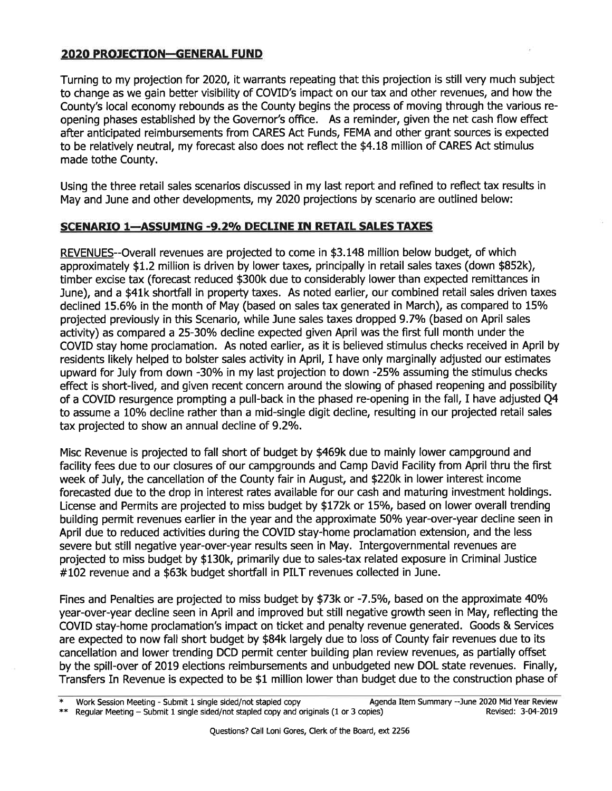# 2020 PROJECTION-GENERAL FUND

Turning to my projection for 2020, it warrants repeating that this projection is still very much subject to change as we gain better visibílity of COVID's impact on our tax and other revenues, and how the County's local economy rebounds as the County begins the process of moving through the various reopening phases established by the Governor's office. As a reminder, given the net cash flow effect after anticipated reimbursements from CARES Act Funds, FEMA and other grant sources is expected to be relatively neutral, my forecast also does not reflect the \$4.18 million of CARES Act stimulus made tothe County.

Using the three retail sales scenarios discussed in my last report and refined to reflect tax results in May and June and other developments, my 2020 projections by scenario are outlined below:

# SCENARIO 1-ASSUMING -9.2% DECLINE IN RETAIL SALES TAXES

REVENUES--Overall revenues are projected to come in \$3.148 million below budget, of which approximately \$1.2 million is driven by lower taxes, princípally in retail sales taxes (down \$852k), timber excise tax (forecast reduced \$300k due to considerably lower than expected remittances in June), and a \$41k shortfall in property taxes. As noted earlier, our combined retail sales driven taxes declined 15.6% in the month of May (based on sales tax generated in March), as compared to 15% projected previously in this Scenario, while June sales taxes dropped 9.7% (based on April sales activity) as compared a 25-30% decline expected given April was the first full month under the COVID stay home proclamation. As noted earlier, as it is believed stímulus checks received in April by residents likely helped to bolster sales activity in April, I have only marginally adjusted our estímates upward for July from down -30% in my last projection to down -25% assuming the stimulus checks effect is short-lived, and given recent concern around the slowing of phased reopening and possibility of a COVID resurgence prompting a pull-back in the phased re-opening in the fall, I have adjusted Q4 to assume a 10% decline rather than a mid-single digit decline, resulting in our projected retail sales tax projected to show an annual decline of 9.2%.

Misc Revenue is projected to fall short of budget by \$469k due to mainly lower campground and facility fees due to our closures of our campgrounds and Camp David Facility from April thru the first week of July, the cancellation of the County fair in August, and \$220k in lower interest income forecasted due to the drop in interest rates available for our cash and maturing investment holdings. License and Permits are projected to miss budget by \$172k or 15%, based on lower overall trending building permit revenues earlier in the year and the approximate 50% year-over-year decline seen in April due to reduced actívities during the COVID stay-home proclamation extension, and the less severe but still negative year-over-year results seen in May. Intergovernmental revenues are projected to miss budget by \$130k, primarily due to sales-tax related exposure in Criminal Justice #t02 revenue and a \$63k budget shortfall in PILT revenues collected in June.

Fines and Penalties are projected to miss budget by \$73k or -7.5%, based on the approximate 40% year-over-year decline seen in April and improved but still negative growth seen in May, reflecting the COVID stay-home proclamation's impact on ticket and penalty revenue generated. Goods & Seruices are expected to now fall short budget by \$84k largely due to loss of County fair revenues due to its cancellatíon and lower trending DCD permit center building plan review revenues, as partially offset by the spill-over of 2019 elections reimbursements and unbudgeted new DOL state revenues. Finally, Transfers In Revenue is expected to be \$1 million lower than budget due to the construction phase of

work Session Meeting - Submit 1 single sided/not stapled copy and originals (1 or 3 copies) Agenda Item Summary --June 2020 Mid Year Review \*\* Regular Meeting - Submit 1 single sided/not stapled copy and originals (1 or 3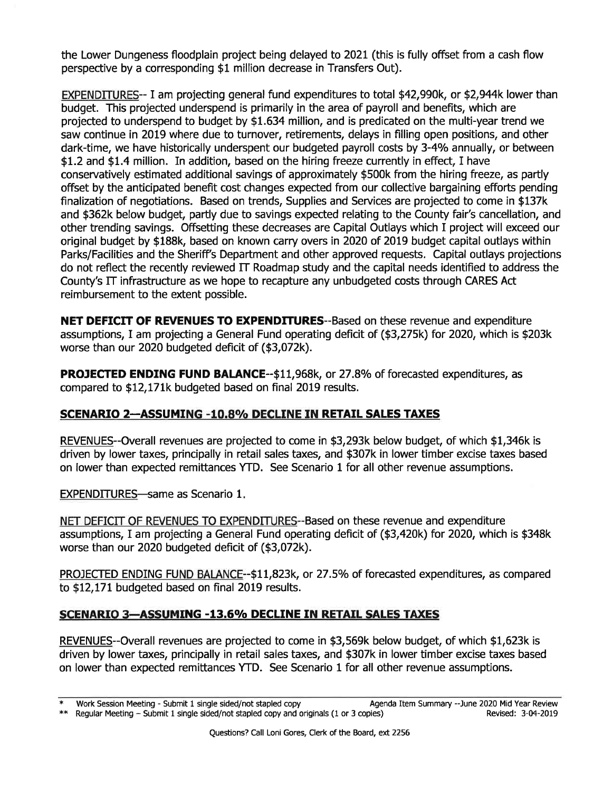the Lower Dungeness floodplain project being delayed to 202L (this is fully offset from a cash flow perspective by a corresponding \$1 million decrease in Transfers Out).

EXPENDITURES-- I am projecting general fund expenditures to total \$42,990k, or \$2,944k lower than budget. This projected underspend is primarily in the area of payroll and benefits, which are projected to underspend to budget by \$1.63a million, and is predicated on the multi-year trend we saw continue in 2019 where due to turnover, retirements, delays in filling open positions, and other dark-time, we have historically underspent our budgeted payroll costs by 3-4% annually, or between \$1.2 and \$1.4 million. In addition, based on the hiríng freeze currently in effect, I have conseruatively estimated additional savings of approximately \$500k from the hiring freeze, as partly offset by the anticipated benefit cost changes expected from our collective bargaining efforts pending finalization of negotiations. Based on trends, Supplies and Services are projected to come in \$137k and \$362k below budget, partly due to savings expected relating to the County fair's cancellation, and other trending savings. Offsetting these decreases are Capital Outlays which I project will exceed our original budget by \$188k, based on known carry overs in 2020 of 2019 budget capital outlays within Parks/Facilities and the Sheriff's Department and other approved requests. Capital outlays projections do not reflect the recently reviewed IT Roadmap study and the capital needs identified to address the County's IT infrastructure as we hope to recapture any unbudgeted costs through CARES Act reimbursement to the extent possible.

NET DEFICIT OF REVENUES TO EXPENDITURES--Based on these revenue and expenditure assumptions, I am projecting a General Fund operating deficit of (\$3,275k) for 2020, which is \$203k worse than our 2020 budgeted deficit of (\$3,072k).

**PROJECTED ENDING FUND BALANCE--\$11,968k, or 27.8% of forecasted expenditures, as** compared to \$12,171k budgeted based on final 2019 results.

# SCENARIO 2-ASSUMING -10.8% DECLINE IN RETAIL SALES TAXES

REVENUES--Overall revenues are projected to come in \$3,293k below budget, of which \$1,346k is driven by lower taxes, principally in retail sales taxes, and \$307k in lower timber excise taxes based on lower than expected remittances YTD. See Scenario 1 for all other revenue assumptions.

EXPENDITURES-same as Scenario 1.

NET DEFICIT OF REVENUES TO EXPENDITURES--Based on these revenue and expenditure assumptions, I am projecting a General Fund operating deficit of (\$3,420k) for 2020, which is \$348k worse than our 2020 budgeted defìcit of (\$3,072k).

PROJECTED ENDING FUND BALANCE--\$11,823k, or 27.5% of forecasted expenditures, as compared to \$12,171 budgeted based on final 2019 results.

# SCENARIO 3-ASSUMING -13.6% DECLINE IN RETAIL SALES TAXES

REVENUES--Overall revenues are projected to come in \$3,569k below budget, of which \$1,623k is driven by lower taxes, principally in retail sales taxes, and \$307k in lower timber excise taxes based on lower than expected remittances YTD. See Scenario 1 for all other revenue assumptions.

work Session Meeting - Submit 1 single sided/not stapled copy and originals (1 or 3 copies) Agenda Item Summary --June 2020 Mid Year Review \*\* Regular Meeting - Submit 1 single sided/not stapled copy and originals (1 or 3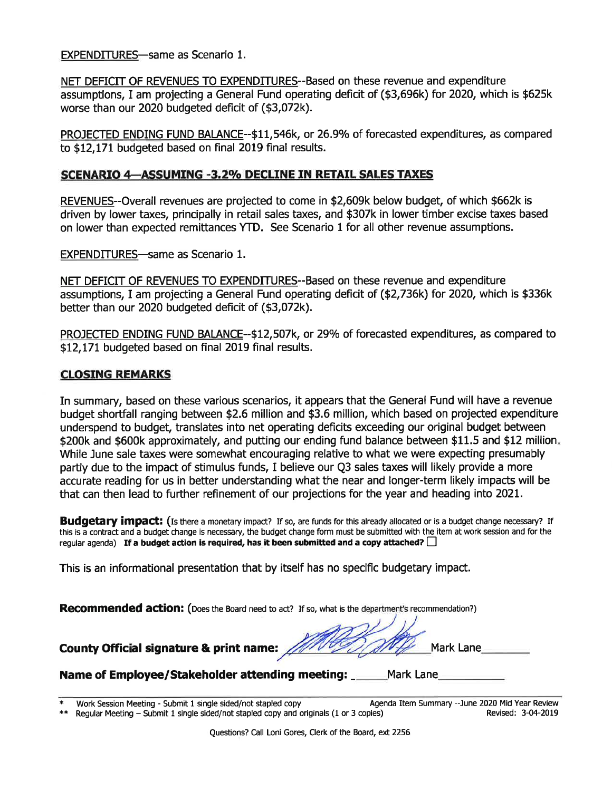EXPENDITURES-same as Scenario 1.

NET DEFICIT OF REVENUES TO EXPENDITURES--Based on these revenue and expenditure assumptions, I am projecting a General Fund operating deficit of (\$3,696k) for 2020, which is \$625k worse than our 2020 budgeted deficit of (\$3,072k).

PROJECTED ENDING FUND BALANCE--\$11,546k, or 26.9% of forecasted expenditures, as compared to \$12,171 budgeted based on final 2019 final results.

### SCENARIO 4-ASSUMING -3.2% DECLINE IN RETAIL SALES TAXES

REVENUES--Overall revenues are projected to come in \$2,609k below budget, of which \$662k is driven by lower taxes, principally in retail sales taxes, and \$307k in lower timber excise taxes based on lower than expected remittances YTD. See Scenario 1 for all other revenue assumptions.

EXPENDITURES-same as Scenario 1.

NET DEFICIT OF REVENUES TO EXPENDITURES--Based on these revenue and expenditure assumptions, I am projecting a General Fund operating deficit of (\$2,736k) for 2020, which is \$336k better than our 2020 budgeted deficit of (\$3,072k).

PROJECTED ENDING FUND BALANCE--\$12,507k, or 29% of forecasted expenditures, as compared to \$12,171 budgeted based on final 2019 final results.

# CLOSING REMARKS

In summary, based on these various scenarios, it appears that the General Fund will have a revenue budget shortfall ranging between \$2.6 million and \$3.6 million, whích based on projected expenditure underspend to budget, translates into net operating deficits exceeding our original budget between \$200k and \$600k approximately, and putting our ending fund balance between \$11.5 and \$12 million. While June sale taxes were somewhat encouraging relative to what we were expecting presumably partly due to the impact of stimulus funds, I believe our Q3 sales taxes will likely provide a more accurate reading for us in better understanding what the near and longer-term likely impacts will be that can then lead to further refinement of our projections for the year and heading into 2021.

**Budgetary impact:** (Is there a monetary impact? If so, are funds for this already allocated or is a budget change necessary? If this is a contract and a budget change is necessary, the budget change form must be submitted with the item at work session and for the requiar agenda) If a budget action is required, has it been submitted and a copy attached?

This is an informational presentation that by itself has no specific budgetary impact.

Recommended action: (Does the Board need to act? If so, what is the department's recommendation?)

| County Official signature & print name: MATER MAN | <b>Mark Lane</b> |  |
|---------------------------------------------------|------------------|--|
|---------------------------------------------------|------------------|--|

Name of Employee/Stakeholder attending meeting: \_\_\_\_\_\_Mark Lane

Work Session Meeting - Submit 1 single sided/not stapled copy and originals (1 or 3 copies) Agenda Item Summary --June 2020 Mid Year Review .<br>Regular Meeting - Submit 1 single sided/not stapled copy and originals (1 or 3 c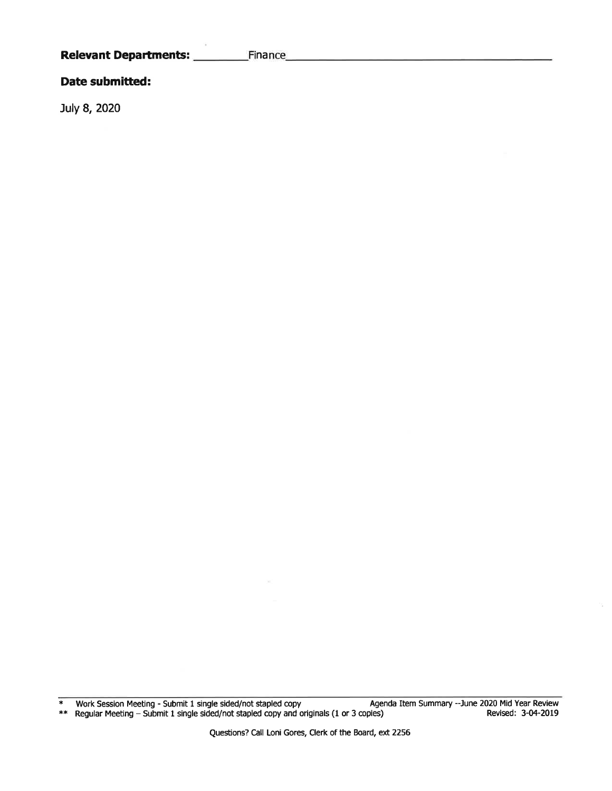### Date submitted:

July 8, 2020

\* Work Session Meeting - Submit 1 single sided/not stapled copy Agenda ltem Summary -June 2020 Mid Year Review \*\* Regular Meeting - Submit 1 single sided/not stapled copy and originals (1 or 3 copies) Revised: 3-04-2019

t.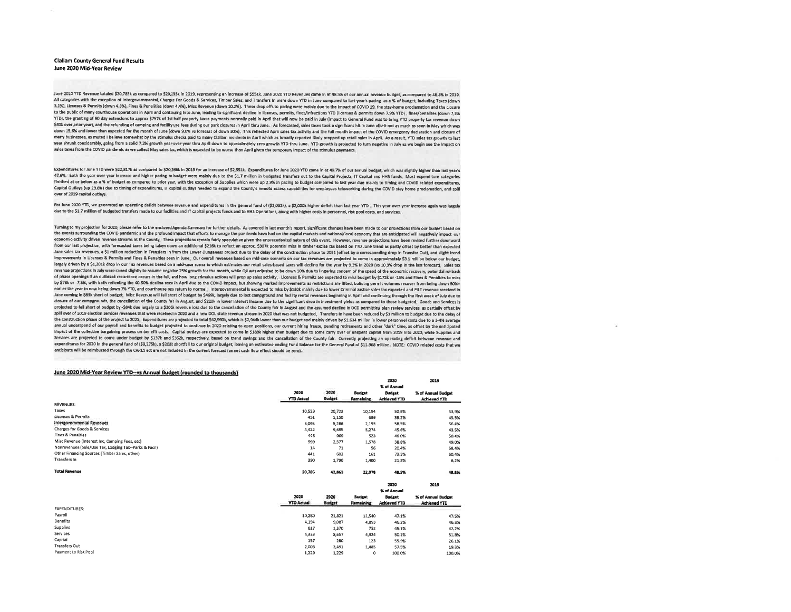### **Clailam County General Fund Results** June 2020 Mid-Year Review

June 2020 YTD Revenue totaled \$20,785k as compared to \$20,233k in 2019, representing an increase of \$551k. June 2020 YTD Revenues came in at 48.5% of our annual revenue budget, as compared to 48.8% in 2019. All categories with the exception of Intergovernmental, Charges For Goods & Services, Timber Sales, and Transfers in were down YTD in June compared to last year's pacing as a % of budget, including Taxes (down 3.1%), Licenses & Permits (down 4.3%), Fines & Penalities (down 4.4%), Misc Revenue (down 10.2%). These drop offs to pacing were mainly due to the impact of COVID 19, the stay-home proclamation and the closure to the public of many courthouse operations in April and continuing into June, leading to significant decline in licenses, permits, fines/infractions YTD (licenses & permits down 7.9% YTD), fines/penalities (down 7.3% YTD), the granting of 90 day extensions to approx \$757k of 1st half property taxes payments normally paid in April that will now be paid in July (impact to General Fund was to bring YTD property tax revenue down \$40k over prior year), and the refunding of camping and facility use fees during our park closures in April thru June. As forecasted, sales taxes took a significant hit in June albeit not as much as seen in May which was down 15.6% and lower than expected for the month of June (down 9.6% vs forecast of down 30%). This reflected April sales tax activity and the full month impact of the COVID emergency declaration and closure of many businesses, as muted I believe somewhat by the stimulus checks paid to many Clallam residents in April which as broadly reported likely propped up retall sales in April. As a result, YTD sales tax growth to last year shrunk considerably, going from a solid 7.2% growth year-over-year thru April down to approximately zero growth YTD thru June. YTD growth is projected to turn negative in July as we begin see the impact on sales taxes from the COVID pandemic as we collect May sales tax, which is expected to be worse than April given the temporary impact of the stimulus payments.

Expenditures for June YTD were \$22,817k as compared to \$20,266k in 2019 for an increase of \$2,551k. Expenditures for June 2020 YTD came in at 49.7% of our annual budget, which was slightly higher than last vear's 47.6%. Both the year-over-year increase and higher pacing to budget were mainly due to the \$1.7 million in budgeted transfers out to the Capital Projects, IT Capital and HHS funds, Most expenditure categories finished at or below as a % of budget as compared to prior year, with the exception of Supplies which were up 2,9% in pacing to budget compared to last year due mainly to timing and COVID related expenditures, Capital Outlays (up 29,8%) due to timing of expenditures, iT capital outlays needed to expand the County's remote access capabilities for employees teleworking during the COVID stay home proclamation, and spill over of 2019 capital outlays

For June 2020 YTD, we generated an operating deficit between revenue and expenditures in the general fund of (\$2,032k), a \$2,000k higher deficit than last year YTD This year-over-year increase again was largely due to the \$1.7 million of budgeted transfers made to our facilities and IT capital projects funds and to HHS Operations, along with higher costs in personnel, risk pool costs, and services,

Turning to my projection for 2020, please refer to the enclosed Agenda Summary for further details, As covered in last month's report, significant changes have been made to our projections from our budget based on the events surrounding the COVID pandemic and the profound impact that efforts to manage the pandemic have had on the capital markets and national/local economy that are anticipated will negatively impact our economic-activity driven revenue streams at the County. These projections remain fairly speculative given the unprecedented nature of this event. However, revenue projections have been revised further downward from our last projection, with forecasted taxes being taken down an additional \$216k to reflect an approx. \$307k potential miss in timber excise tax based on YTD June trend as partly offset by better than expected June sales tax revenues, a \$1 million reduction in Transfers in from the Lower Dungeness project due to the delay of the construction phase to 2021 (offset by a corresponding drop in Transfer Out), and slight trend Improvements in Licenses & Permits and Fines & Penalties seen in June. Our overall revenues based on mid-case scenario on our tax revenues are projected to come in approximately \$9,1 million below our budget, largely driven by a \$1,201k drop in our Tax revenues based on a mid-case scenario which estimates our retail sales-based taxes will decline for the year by 9.2% in 2020 (vs 10,3% drop in the last forecast), Sales tax revenue projections in July were raised slightly to assume negative 25% growth for the month, while Q4 was adjusted to be down 10% due to lingering concern of the speed of the economic recovery, potential roliback of phase openings if an outbreak recurrence occurs in the fall, and how long stimulus actions will prop up sales activity. Licenses & Permits are expected to miss budget by \$172k or -15% and Fines & Penalties to miss by \$73k or -7.5%, with both reflecting the 40-50% decline seen in April due to the COVID impact, but showing marked improvements as restrictions are lifted, building permit volumes recover from being down 30%+ earlier the year to now being down 7% YTD, and courthouse ops return to normal, Intergovernmental is expected to miss by \$130k mainly due to lower Criminal Justice sales tax expected and PILT revenue received in June coming in \$63k short of budget, Misc Revenue will fall short of budget by \$469k, largely due to lost campground and facility rental revenues beginning in April and continuing through the first week of July due to closure of our camparounds, the cancellation of the County fair in August, and \$220k in lower Interest Income due to the significant drop in investment yields as compared to those budgeted. Goods and Services is projected to fall short of budget by -\$84k due largely to a \$205k revenue loss due to the cancellation of the County fair in August and the assumed decline in DCD permitting plan review services, as partially offset by splil over of 2019 election services revenues that were received in 2020 and a new DOL state revenue stream in 2020 that was not budgeted. Transfers in have been reduced by \$1 million to budget due to the delay of the construction phase of the project to 2021. Expenditures are projected to total \$42,990k, which is \$2,994k lower than our budget and mainly driven by \$1.634 million in lower personnel costs due to a 3-4% average annual underspend of our payroll and benefits to budget projected to continue in 2020 relating to open positions, our current hiring freeze, pending retirements and other "dark" time, as offset by the anticipated Impact of the collective bargaining process on benefit costs. Capital outlays are expected to come in \$188k higher than budget due to some carry over of unspent capital from 2019 Into 2020, while Supplies and Services are projected to come under budget by \$137k and \$362k, respectively, based on trend savings and the cancellation of the County fair. Currently projecting an operating deficit between revenue and expenditures for 2020 In the general fund of (\$3,275k), a \$203k shortfall to our original budget, leaving an estimated ending Fund Balance for the General Fund of \$11,968 million, NOTE: COVID related costs that we anticipate will be reimbursed through the CARES act are not included in the current forecast (as net cash flow effect should be zero).

### June 2020 Mid-Year Review YTD--vs Annual Budget (rounded to thousands)

|                                                        |                   |                |               |                     | ---                 |
|--------------------------------------------------------|-------------------|----------------|---------------|---------------------|---------------------|
|                                                        |                   | <b>TELEVIS</b> |               | % of Annual         |                     |
|                                                        | 2020              | 2020           | <b>Budget</b> | Budget              | % of Annual Budget  |
|                                                        | <b>YTD Actual</b> | Budget         | Remaining     | <b>Achieved YTD</b> | <b>Achieved YTD</b> |
| <b>REVENUES:</b>                                       |                   |                |               |                     |                     |
| Taxes                                                  | 10,529            | 20,723         | 10,194        | 50.B%               | 53.9%               |
| <b>Licenses &amp; Permits</b>                          | 451               | 1,150          | 699           | 39.2%               | 43.5%               |
| Intergovernmental Revenues                             | 3.093             | 5,286          | 2,193         | 58.5%               | 56.4%               |
| Charges for Goods & Services                           | 4,422             | 9,695          | 5,274         | 45.6%               | 43.5%               |
| <b>Fines &amp; Penalties</b>                           | 446               | 969            | 523           | 46.0%               | 50.4%               |
| Misc Revenue (Interest Inc, Camping Fees, etc)         | 999               | 2.577          | 1,578         | 38.8%               | 49.0%               |
| Nonrevenues (Sale/Use Tax, Lodging Tax--Parks & Facil) | 14                | 71             | 56            | 20.4%               | 58.4%               |
| Other Financing Sources (Timber Sales, other)          | 441               | 602            | 161           | 73.3%               | 50.4%               |
| Transfers In                                           | 390               | 1,790          | 1,400         | 21.8%               | 6.2%                |
| <b>Total Ravenue</b>                                   | 20,785            | 42,863         | 22,078        | 48.5%               | 48.6%               |
|                                                        |                   |                |               | 2020                | 2019                |
|                                                        |                   |                |               | % of Annual         |                     |
|                                                        | 2020              | 2020           | <b>Budget</b> | <b>Budget</b>       | % of Annual Budget  |
|                                                        | <b>YTD Actual</b> | <b>Budget</b>  | Remaining     | <b>Achieved YTD</b> | <b>Achleved YTD</b> |
| <b>EXPENDITURES:</b>                                   |                   |                |               |                     |                     |
| Payroll                                                | 10,280            | 21,821         | 11,540        | 47.1%               | 47.5%               |
| <b>Benefits</b>                                        | 4,194             | 9,087          | 4,893         | 46.2%               | 46,3%               |
| <b>Supplies</b>                                        | 617               | 1,370          | 752           | 45.1%               | 42.2%               |
| <b>Services</b>                                        | 4.333             | 8,657          | 4,324         | 50.1%               | 51.8%               |
| Capital                                                | 157               | 280            | 123           | 55.9%               | 26.1%               |
| <b>Transfers Out</b>                                   | 2,006             | 3,491          | 1,485         | 57.5%               | 19.3%               |
| Payment to Risk Pool                                   | 1,229             | 1.229          | ٥             | 100.0%              | 100.0%              |

2019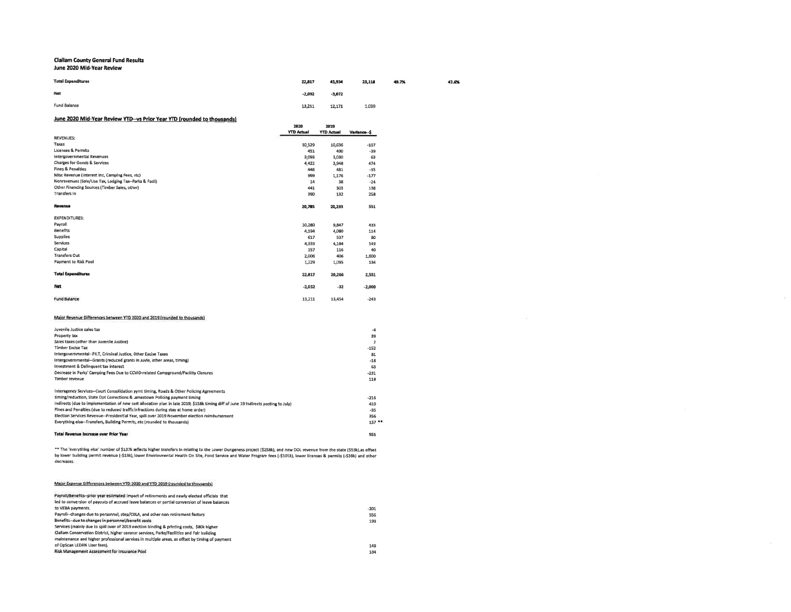### **Clallam County General Fund Results**

#### June 2020 Mid-Year Revlew

| <b>Total Expenditures</b> | 22,817   | 45,934   | 23,118 | 49.7% | 47.6% |
|---------------------------|----------|----------|--------|-------|-------|
| Net                       | $-2,032$ | $-3,072$ |        |       |       |
| Fund Balance              | 13,211   | 12,171   | 1,039  |       |       |

### June 2020 Mid-Year Review YTD--vs Prior Year YTD (rounded to thousands)

|                                                                                                                                     | 2020<br><b>YTD Actual</b> | 2019<br><b>YTD Actual</b> | Variance--\$ |
|-------------------------------------------------------------------------------------------------------------------------------------|---------------------------|---------------------------|--------------|
| <b>REVENUES:</b>                                                                                                                    |                           |                           |              |
| Taxes                                                                                                                               | 10.529                    | 10,636                    | $-107$       |
| <b>Licenses &amp; Permits</b>                                                                                                       | 451                       | 490                       | $-39$        |
| intergovernmental Revenues                                                                                                          | 3.093                     | 3,030                     | 63           |
| Charges for Goods & Services                                                                                                        | 4,422                     | 3,948                     | 474          |
| <b>Fines &amp; Penalties</b>                                                                                                        | 446                       | 481                       | -35          |
| Misc Revenue (Interest Inc, Camping Fees, etc)                                                                                      | 999                       | 1,176                     | $-177$       |
| Nonrevenues (Sale/Use Tax, Lodging Tax-Parks & Facil)                                                                               | 14                        | 38                        | $-24$        |
| Other Financing Sources (Timber Sales, other)                                                                                       | 441                       | 303                       | 138          |
| Transfers In                                                                                                                        | 390                       | 132                       | 258          |
| Revenue                                                                                                                             | 20,785                    | 20,233                    | 551          |
| <b>EXPENDITURES:</b>                                                                                                                |                           |                           |              |
| Payroll                                                                                                                             | 10,280                    | 9,847                     | 433          |
| <b>Benefits</b>                                                                                                                     | 4,194                     | 4,080                     | 114          |
| <b>Supplies</b>                                                                                                                     | 617                       | 537                       | 80           |
| Services                                                                                                                            | 4,333                     | 4,184                     | 149          |
| Capital                                                                                                                             | 157                       | 116                       | 40           |
| <b>Transfers Out</b>                                                                                                                | 2,006                     | 406                       | 1.600        |
| <b>Payment to Risk Pool</b>                                                                                                         | 1,229                     | 1,095                     | 134          |
| <b>Total Expenditures</b>                                                                                                           | 22,817                    | 20,266                    | 2,551        |
| Net                                                                                                                                 | $-2.032$                  | $-32$                     | $-2,000$     |
| Fund Balance                                                                                                                        | 13,211                    | 13,454                    | $-243$       |
| Major Revenue Differences between YTD 2020 and 2019 (rounded to thousands)                                                          |                           |                           |              |
| Juvenile Justice sales tax                                                                                                          |                           |                           | $-4$         |
| Property tax                                                                                                                        |                           |                           | 39           |
| Sales taxes (other than Juvenile Justice)                                                                                           |                           |                           | $\mathbf{2}$ |
| <b>Timber Excise Tax</b>                                                                                                            |                           |                           | $-152$       |
| Intergovernmental--PILT, Criminal Justice, Other Excise Taxes                                                                       |                           |                           | 81           |
| Intergovernmental--Grants (reduced grants in Juvie, other areas, timing)                                                            |                           |                           | $-18$        |
| Investment & Delinquent tax interest                                                                                                |                           |                           | 63           |
| Decrease in Parks' Camping Fees Due to COVID-related Campground/Facility Closures                                                   |                           |                           | $-231$       |
| Timber revenue                                                                                                                      |                           |                           | 118          |
| Interagency Services--Court Consolidation pyrnt timing, Roads & Other Policing Agreements                                           |                           |                           |              |
| timing/reduction, State Dpt Corrections & Jamestown Policing payment timing                                                         |                           |                           | $-216$       |
| Indirects (due to implementation of new cost allocation plan in late 2019; \$158k timing diff of June 19 Indirects posting to July) |                           |                           | 410          |
| Fines and Penalties (due to reduced traffic infractions during stay at home order)                                                  |                           |                           | $-35$        |
| Election Services Revenue--Presidential Year, spill over 2019 November election reimbursement                                       |                           |                           | 356          |

Election Services Revenue--Presidential Year, spill over 2019 November election reimbursement Everything else--Transfers, Building Permits, etc (rounded to thousands)  $137 -$ **Total Revenue Increase over Prior Year**  $551$ 

\*\* The 'everything else' number of \$137k reflects higher transfers in relating to the Lower Dungeness project (\$258k), and new DOL revenue from the state (\$53k),as offset<br>by lower building permit revenue (-\$13k), lower Env decreases.

#### Major Expense Differences between YTO 2020 and YTO 2019 (rounded to thousands)

| Payroll/Benefits-prior year estimated impact of retirements and newly elected officials that   |        |  |
|------------------------------------------------------------------------------------------------|--------|--|
| led to conversion of payouts of accrued leave balances or partial conversion of leave balances |        |  |
| to VEBA payments.                                                                              | $-201$ |  |
| Payroll--changes due to personnel, step/COLA, and other non-retirement factors                 | 556    |  |
| Benefits-due to changes in personnel/benefit costs                                             | 193    |  |
| Services (mainly due to spill over of 2019 election binding & printing costs. \$80k higher     |        |  |
| Clallam Conservation District, higher coroner services, Parks/Facilities and Fair building     |        |  |
| maintenance and higher professional services in multiple areas, as offset by timing of payment |        |  |
| of OpScan LEDRN User fees).                                                                    | 149    |  |
| Risk Management Assessment for Insurance Pool                                                  | 134    |  |
|                                                                                                |        |  |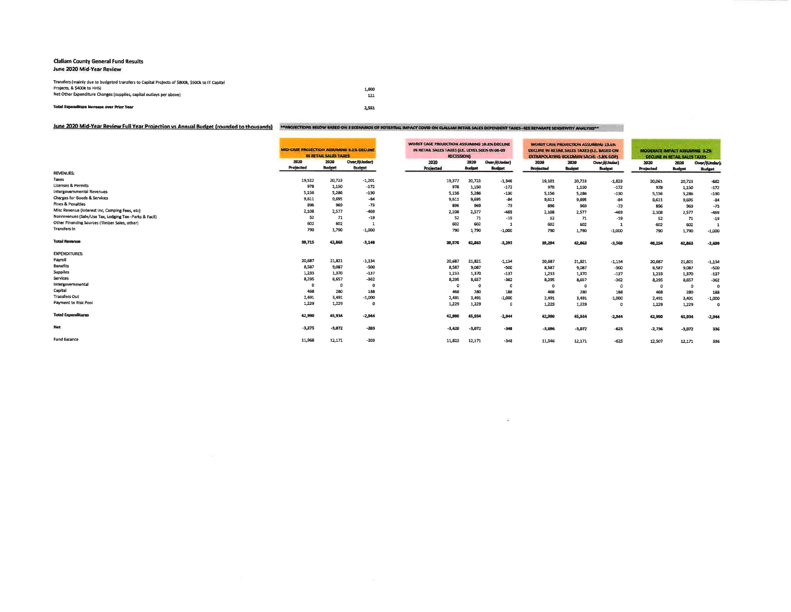### **Claliam County General Fund Results** June 2020 Mid-Year Review

| Projects, & \$400k to HHSI                                          | 1,600 |
|---------------------------------------------------------------------|-------|
| Net Other Expenditure Changes (supplies, capital outlays per above) | 121   |
| Total Expanditure Increase over Prior Year                          | 2.551 |

|                                                        | MID-CASE PROJECTION ASSUMING 9.2N DECLINE | IN BETAIL SALES TAXES |                    | WORST CASE PROJECTION ASSUMING 10.8% DECLINE<br>IN RETAIL SALES TAXES (LE. LEVEL SEEN IN 08-09<br><b>RECESSION)</b> |                |                 | WORST CASE PROJECTION ASSUMING 13.6%<br>DECLINE IN RETAIL SALES TAXES ILE. BASED ON<br><b>EXTRAPOLATING GOLDMAN SACHS - 3.8% GOPY</b> |               |               | MODERATE IMPACT ASSUMING 3.2% | <b>DECUME IN RETAIL SALES TAXES</b> |               |
|--------------------------------------------------------|-------------------------------------------|-----------------------|--------------------|---------------------------------------------------------------------------------------------------------------------|----------------|-----------------|---------------------------------------------------------------------------------------------------------------------------------------|---------------|---------------|-------------------------------|-------------------------------------|---------------|
|                                                        | 2020                                      | 2029                  | Over/6Under)       | 2020                                                                                                                | 2020           | Over/(Under)    | 2020                                                                                                                                  | 2929          | Over/(Under)  | 2020                          | 2020                                | Over/(Under)  |
| <b>REVENUES:</b>                                       | Projected                                 | <b>Budget</b>         | <b>Budget</b>      | Projected                                                                                                           | <b>Budget</b>  | <b>Budget</b>   | <b>Projected</b>                                                                                                                      | <b>Budget</b> | <b>Budget</b> | <b>Projected</b>              | <b>Budget</b>                       | <b>Budget</b> |
| Taxes                                                  |                                           | 20,723                |                    |                                                                                                                     |                |                 |                                                                                                                                       |               |               |                               |                                     |               |
| <b>Licenses &amp; Permits</b>                          | 19,522<br>978                             | 1,150                 | $-1,201$<br>$-172$ | 19,377                                                                                                              | 20,723         | $-1.346$        | 19,101                                                                                                                                | 20,723        | $-1,623$      | 20,061                        | 20,723                              | $-662$        |
| <b>Intergovernmental Revenues</b>                      | 5,156                                     | 5,286                 | $-130$             | 978                                                                                                                 | 1,150<br>5,286 | $-172$          | 978                                                                                                                                   | 1,150         | $-172$        | 978                           | 1,150                               | $-172$        |
| <b>Charges for Goods &amp; Services</b>                | 9,611                                     | 9,695                 | $-84$              | 5,156                                                                                                               | 9,695          | $-130$<br>$-84$ | 5,156                                                                                                                                 | 5,286         | $-130$        | 5.156                         | 5,286                               | $-130$        |
| <b>Fines &amp; Penalties</b>                           | 896                                       | 969                   | $-73$              | 9,611<br>896                                                                                                        | 969            | $-73$           | 9,611                                                                                                                                 | 9.695         | $-84$         | 9.611                         | 9,695                               | $-84$         |
| Misc Revenue (Interest Inc, Camping Fees, etc)         | 2,108                                     | 2,577                 | 469                |                                                                                                                     | 2.577          | $-469$          | 896                                                                                                                                   | 969           | $-73$         | 896                           | 969                                 | $-73$         |
| Nonrevenues (Sale/Use Tax, Lodging Tax--Parks & Facil) | 52                                        | 71                    | $-19$              | 2,108<br>52                                                                                                         | 71             | $-19$           | 2,108<br>52                                                                                                                           | 2.577         | -469          | 2,108                         | 2,577                               | $-469$        |
| Other Financing Sources (Timber Sales, other)          | 602                                       | 602                   |                    | 602                                                                                                                 | 602            | $\mathbf{1}$    | 602                                                                                                                                   | 71            | $-19$         | 52                            | 71                                  | $-19$         |
| <b>Transfers In</b>                                    | 790                                       | 1,790                 | $-1,000$           | 790                                                                                                                 | 1.790          | $-1.000$        | 790                                                                                                                                   | 602<br>1.790  | $-1.000$      | 602<br>790                    | 602<br>1,790                        |               |
|                                                        |                                           |                       |                    |                                                                                                                     |                |                 |                                                                                                                                       |               |               |                               |                                     | $-1,000$      |
| <b>Total Revenue</b>                                   | 39,715                                    | 42,863                | $-3,140$           | 39,570                                                                                                              | 42,863         | $-3,293$        | 39,294                                                                                                                                | 42,863        | $-3,569$      | 40,254                        | 42.863                              | $-2.699$      |
| <b>EXPENDITURES:</b>                                   |                                           |                       |                    |                                                                                                                     |                |                 |                                                                                                                                       |               |               |                               |                                     |               |
| Payroll                                                | 20,687                                    | 21,821                | $-1,134$           | 20,687                                                                                                              | 21.821         | $-1,134$        | 20,687                                                                                                                                | 21,821        | $-1,134$      | 20,687                        | 21,821                              | $-1,134$      |
| <b>Benefits</b>                                        | 8,587                                     | 9,087                 | $-500$             | 8,587                                                                                                               | 9.087          | $-500$          | 8,587                                                                                                                                 | 9.087         | $-500$        | 8,587                         | 9,087                               | $-500$        |
| <b>Suppiles</b>                                        | 1,233                                     | 1,370                 | $-137$             | 1,233                                                                                                               | 1,370          | $-137$          | 1,233                                                                                                                                 | 1,370         | $-137$        | 1,233                         | 1.370                               | $-137$        |
| Services                                               | 8,295                                     | 8,657                 | $-362$             | 8,295                                                                                                               | 8.657          | $-362$          | 8.295                                                                                                                                 | 8.657         | -362          | 8.295                         | 8.657                               | $-362$        |
| Intergovernmental                                      |                                           | o                     | $\Omega$           |                                                                                                                     | $\Omega$       | $\Omega$        | o                                                                                                                                     | n             | $\Omega$      | n                             | $\Omega$                            | $\Omega$      |
| Capital                                                | 468                                       | 280                   | 188                | 468                                                                                                                 | 280            | 188             | 468                                                                                                                                   | 280           | 188           | 468                           | 280                                 | 188           |
| <b>Transfers Out</b>                                   | 2,491                                     | 3,491                 | $-1,000$           | 2,491                                                                                                               | 3,491          | $-1.000$        | 2.491                                                                                                                                 | 3,491         | $-1.000$      | 2,491                         | 3,491                               | $-1,000$      |
| Payment to Risk Pool                                   | 1,229                                     | 1,229                 | $\Omega$           | 1,229                                                                                                               | 1,229          | - 0             | 1,229                                                                                                                                 | 1,229         | $\Omega$      | 1,229                         | 1,229                               | <b>C</b>      |
| <b>Total Expenditures</b>                              | 42,990                                    | 45,934                | $-2.944$           | 42,990                                                                                                              | 45,934         | $-2.944$        | 42,990                                                                                                                                | 45,934        | $-2.944$      | 42.990                        | 45.934                              | $-2,944$      |
| Net                                                    | $-3.275$                                  | $-3,072$              | $-203$             | $-3.420$                                                                                                            | $-3,072$       | $-348$          | $-3.696$                                                                                                                              | $-3,072$      | $-625$        | $-2.736$                      | $-3,072$                            | 336           |
| <b>Fund Balance</b>                                    | 11,968                                    | 12,171                | $-203$             | 11,823                                                                                                              | 12,171         | $-348$          | 11,546                                                                                                                                | 12.171        | $-625$        | 12,507                        | 12,171                              | 336           |

 $\sim 100$  km s  $^{-1}$  .